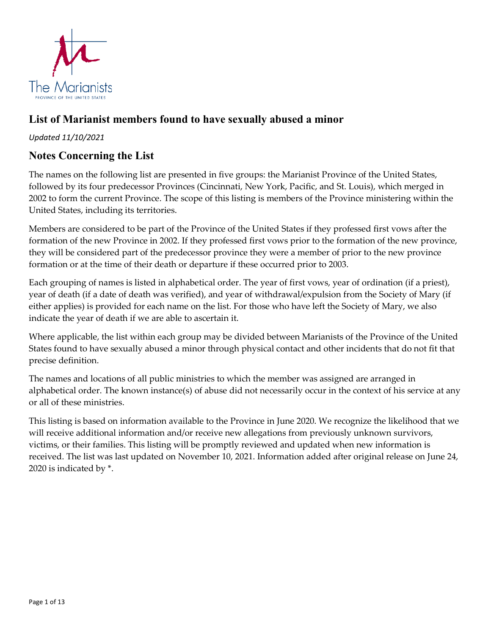

# **List of Marianist members found to have sexually abused a minor**

#### *Updated 11/10/2021*

### **Notes Concerning the List**

The names on the following list are presented in five groups: the Marianist Province of the United States, followed by its four predecessor Provinces (Cincinnati, New York, Pacific, and St. Louis), which merged in 2002 to form the current Province. The scope of this listing is members of the Province ministering within the United States, including its territories.

Members are considered to be part of the Province of the United States if they professed first vows after the formation of the new Province in 2002. If they professed first vows prior to the formation of the new province, they will be considered part of the predecessor province they were a member of prior to the new province formation or at the time of their death or departure if these occurred prior to 2003.

Each grouping of names is listed in alphabetical order. The year of first vows, year of ordination (if a priest), year of death (if a date of death was verified), and year of withdrawal/expulsion from the Society of Mary (if either applies) is provided for each name on the list. For those who have left the Society of Mary, we also indicate the year of death if we are able to ascertain it.

Where applicable, the list within each group may be divided between Marianists of the Province of the United States found to have sexually abused a minor through physical contact and other incidents that do not fit that precise definition.

The names and locations of all public ministries to which the member was assigned are arranged in alphabetical order. The known instance(s) of abuse did not necessarily occur in the context of his service at any or all of these ministries.

This listing is based on information available to the Province in June 2020. We recognize the likelihood that we will receive additional information and/or receive new allegations from previously unknown survivors, victims, or their families. This listing will be promptly reviewed and updated when new information is received. The list was last updated on November 10, 2021. Information added after original release on June 24, 2020 is indicated by \*.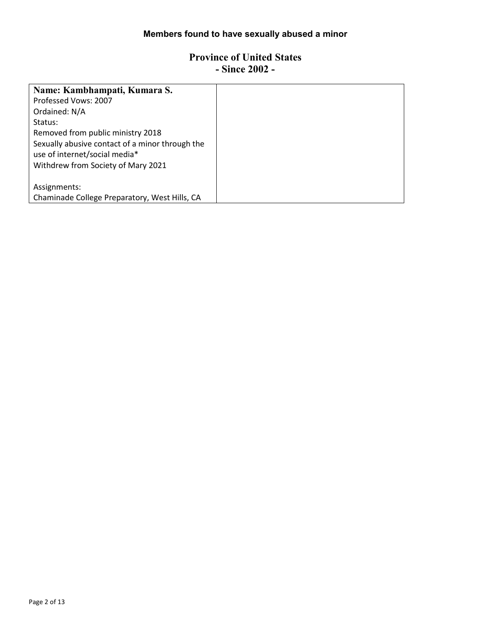# **Members found to have sexually abused a minor**

#### **Province of United States - Since 2002 -**

| Name: Kambhampati, Kumara S.                    |
|-------------------------------------------------|
| Professed Vows: 2007                            |
| Ordained: N/A                                   |
| Status:                                         |
| Removed from public ministry 2018               |
| Sexually abusive contact of a minor through the |
| use of internet/social media*                   |
| Withdrew from Society of Mary 2021              |
|                                                 |
| Assignments:                                    |
| Chaminade College Preparatory, West Hills, CA   |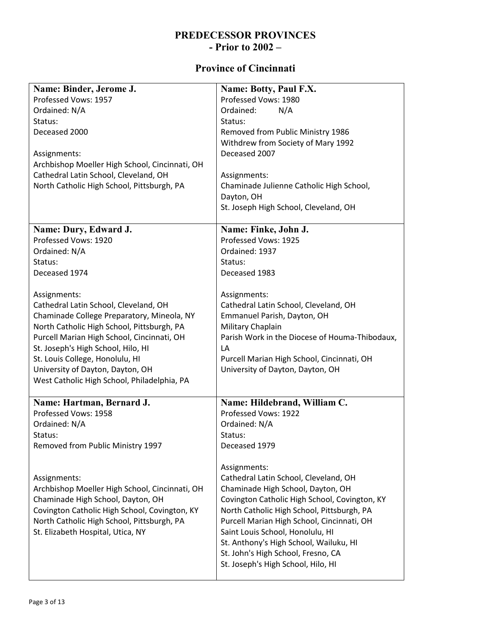#### **PREDECESSOR PROVINCES - Prior to 2002 –**

### **Province of Cincinnati**

| Name: Binder, Jerome J.                        | Name: Botty, Paul F.X.                                                   |
|------------------------------------------------|--------------------------------------------------------------------------|
| Professed Vows: 1957                           | Professed Vows: 1980                                                     |
| Ordained: N/A                                  | N/A<br>Ordained:                                                         |
| Status:                                        | Status:                                                                  |
| Deceased 2000                                  | Removed from Public Ministry 1986                                        |
|                                                | Withdrew from Society of Mary 1992                                       |
| Assignments:                                   | Deceased 2007                                                            |
| Archbishop Moeller High School, Cincinnati, OH |                                                                          |
| Cathedral Latin School, Cleveland, OH          | Assignments:                                                             |
| North Catholic High School, Pittsburgh, PA     | Chaminade Julienne Catholic High School,                                 |
|                                                | Dayton, OH                                                               |
|                                                | St. Joseph High School, Cleveland, OH                                    |
| Name: Dury, Edward J.                          | Name: Finke, John J.                                                     |
| Professed Vows: 1920                           | Professed Vows: 1925                                                     |
| Ordained: N/A                                  | Ordained: 1937                                                           |
| Status:                                        | Status:                                                                  |
| Deceased 1974                                  | Deceased 1983                                                            |
|                                                |                                                                          |
| Assignments:                                   | Assignments:                                                             |
| Cathedral Latin School, Cleveland, OH          | Cathedral Latin School, Cleveland, OH                                    |
| Chaminade College Preparatory, Mineola, NY     | Emmanuel Parish, Dayton, OH                                              |
| North Catholic High School, Pittsburgh, PA     | Military Chaplain                                                        |
| Purcell Marian High School, Cincinnati, OH     | Parish Work in the Diocese of Houma-Thibodaux,                           |
| St. Joseph's High School, Hilo, HI             | LA                                                                       |
| St. Louis College, Honolulu, HI                | Purcell Marian High School, Cincinnati, OH                               |
| University of Dayton, Dayton, OH               | University of Dayton, Dayton, OH                                         |
| West Catholic High School, Philadelphia, PA    |                                                                          |
| Name: Hartman, Bernard J.                      | Name: Hildebrand, William C.                                             |
| Professed Vows: 1958                           | Professed Vows: 1922                                                     |
| Ordained: N/A                                  | Ordained: N/A                                                            |
| Status:                                        | Status:                                                                  |
| Removed from Public Ministry 1997              | Deceased 1979                                                            |
|                                                |                                                                          |
|                                                | Assignments:                                                             |
| Assignments:                                   | Cathedral Latin School, Cleveland, OH                                    |
| Archbishop Moeller High School, Cincinnati, OH | Chaminade High School, Dayton, OH                                        |
| Chaminade High School, Dayton, OH              | Covington Catholic High School, Covington, KY                            |
| Covington Catholic High School, Covington, KY  | North Catholic High School, Pittsburgh, PA                               |
| North Catholic High School, Pittsburgh, PA     | Purcell Marian High School, Cincinnati, OH                               |
| St. Elizabeth Hospital, Utica, NY              | Saint Louis School, Honolulu, HI                                         |
|                                                | St. Anthony's High School, Wailuku, HI                                   |
|                                                | St. John's High School, Fresno, CA<br>St. Joseph's High School, Hilo, HI |
|                                                |                                                                          |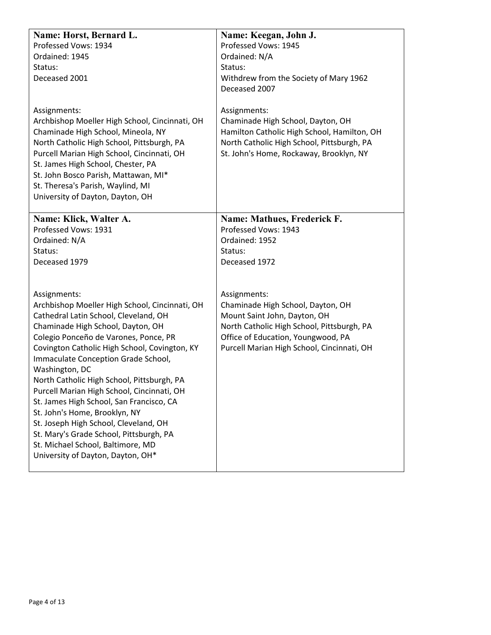| Name: Horst, Bernard L.<br>Professed Vows: 1934<br>Ordained: 1945<br>Status:<br>Deceased 2001<br>Assignments:<br>Archbishop Moeller High School, Cincinnati, OH<br>Chaminade High School, Mineola, NY<br>North Catholic High School, Pittsburgh, PA<br>Purcell Marian High School, Cincinnati, OH<br>St. James High School, Chester, PA<br>St. John Bosco Parish, Mattawan, MI*<br>St. Theresa's Parish, Waylind, MI<br>University of Dayton, Dayton, OH                                                                               | Name: Keegan, John J.<br>Professed Vows: 1945<br>Ordained: N/A<br>Status:<br>Withdrew from the Society of Mary 1962<br>Deceased 2007<br>Assignments:<br>Chaminade High School, Dayton, OH<br>Hamilton Catholic High School, Hamilton, OH<br>North Catholic High School, Pittsburgh, PA<br>St. John's Home, Rockaway, Brooklyn, NY |
|----------------------------------------------------------------------------------------------------------------------------------------------------------------------------------------------------------------------------------------------------------------------------------------------------------------------------------------------------------------------------------------------------------------------------------------------------------------------------------------------------------------------------------------|-----------------------------------------------------------------------------------------------------------------------------------------------------------------------------------------------------------------------------------------------------------------------------------------------------------------------------------|
| Name: Klick, Walter A.<br>Professed Vows: 1931<br>Ordained: N/A<br>Status:<br>Deceased 1979<br>Assignments:<br>Archbishop Moeller High School, Cincinnati, OH<br>Cathedral Latin School, Cleveland, OH<br>Chaminade High School, Dayton, OH<br>Colegio Ponceño de Varones, Ponce, PR<br>Covington Catholic High School, Covington, KY<br>Immaculate Conception Grade School,<br>Washington, DC<br>North Catholic High School, Pittsburgh, PA<br>Purcell Marian High School, Cincinnati, OH<br>St. James High School, San Francisco, CA | Name: Mathues, Frederick F.<br>Professed Vows: 1943<br>Ordained: 1952<br>Status:<br>Deceased 1972<br>Assignments:<br>Chaminade High School, Dayton, OH<br>Mount Saint John, Dayton, OH<br>North Catholic High School, Pittsburgh, PA<br>Office of Education, Youngwood, PA<br>Purcell Marian High School, Cincinnati, OH          |
| St. John's Home, Brooklyn, NY<br>St. Joseph High School, Cleveland, OH<br>St. Mary's Grade School, Pittsburgh, PA<br>St. Michael School, Baltimore, MD<br>University of Dayton, Dayton, OH*                                                                                                                                                                                                                                                                                                                                            |                                                                                                                                                                                                                                                                                                                                   |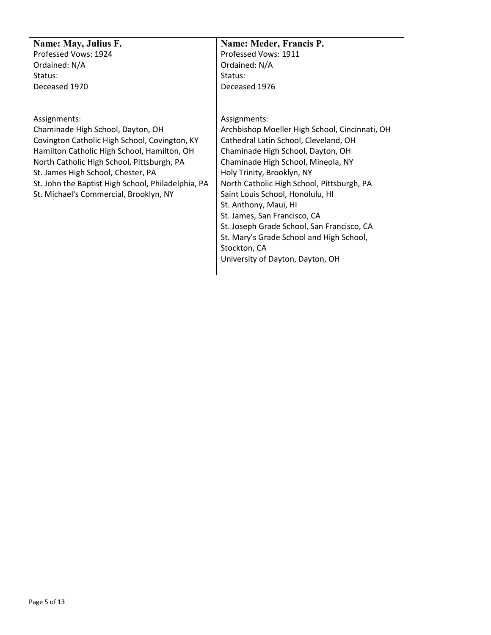| Name: May, Julius F.                               | Name: Meder, Francis P.                        |
|----------------------------------------------------|------------------------------------------------|
| Professed Vows: 1924                               | Professed Vows: 1911                           |
| Ordained: N/A                                      | Ordained: N/A                                  |
| Status:                                            | Status:                                        |
| Deceased 1970                                      | Deceased 1976                                  |
|                                                    |                                                |
|                                                    |                                                |
| Assignments:                                       | Assignments:                                   |
| Chaminade High School, Dayton, OH                  | Archbishop Moeller High School, Cincinnati, OH |
| Covington Catholic High School, Covington, KY      | Cathedral Latin School, Cleveland, OH          |
| Hamilton Catholic High School, Hamilton, OH        | Chaminade High School, Dayton, OH              |
| North Catholic High School, Pittsburgh, PA         | Chaminade High School, Mineola, NY             |
| St. James High School, Chester, PA                 | Holy Trinity, Brooklyn, NY                     |
| St. John the Baptist High School, Philadelphia, PA | North Catholic High School, Pittsburgh, PA     |
| St. Michael's Commercial, Brooklyn, NY             | Saint Louis School, Honolulu, HI               |
|                                                    | St. Anthony, Maui, HI                          |
|                                                    | St. James, San Francisco, CA                   |
|                                                    | St. Joseph Grade School, San Francisco, CA     |
|                                                    | St. Mary's Grade School and High School,       |
|                                                    | Stockton, CA                                   |
|                                                    | University of Dayton, Dayton, OH               |
|                                                    |                                                |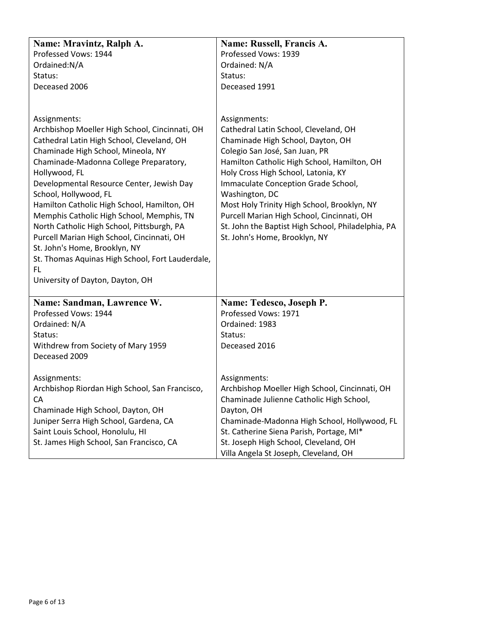| Name: Mravintz, Ralph A.                                                                                                                                                                                                                                                                                                                                                                                                                                                                                                                                                                                    | Name: Russell, Francis A.                                                                                                                                                                                                                                                                                                                                                                                                                                       |
|-------------------------------------------------------------------------------------------------------------------------------------------------------------------------------------------------------------------------------------------------------------------------------------------------------------------------------------------------------------------------------------------------------------------------------------------------------------------------------------------------------------------------------------------------------------------------------------------------------------|-----------------------------------------------------------------------------------------------------------------------------------------------------------------------------------------------------------------------------------------------------------------------------------------------------------------------------------------------------------------------------------------------------------------------------------------------------------------|
| Professed Vows: 1944                                                                                                                                                                                                                                                                                                                                                                                                                                                                                                                                                                                        | Professed Vows: 1939                                                                                                                                                                                                                                                                                                                                                                                                                                            |
| Ordained:N/A                                                                                                                                                                                                                                                                                                                                                                                                                                                                                                                                                                                                | Ordained: N/A                                                                                                                                                                                                                                                                                                                                                                                                                                                   |
| Status:                                                                                                                                                                                                                                                                                                                                                                                                                                                                                                                                                                                                     | Status:                                                                                                                                                                                                                                                                                                                                                                                                                                                         |
| Deceased 2006                                                                                                                                                                                                                                                                                                                                                                                                                                                                                                                                                                                               | Deceased 1991                                                                                                                                                                                                                                                                                                                                                                                                                                                   |
|                                                                                                                                                                                                                                                                                                                                                                                                                                                                                                                                                                                                             |                                                                                                                                                                                                                                                                                                                                                                                                                                                                 |
| Assignments:<br>Archbishop Moeller High School, Cincinnati, OH<br>Cathedral Latin High School, Cleveland, OH<br>Chaminade High School, Mineola, NY<br>Chaminade-Madonna College Preparatory,<br>Hollywood, FL<br>Developmental Resource Center, Jewish Day<br>School, Hollywood, FL<br>Hamilton Catholic High School, Hamilton, OH<br>Memphis Catholic High School, Memphis, TN<br>North Catholic High School, Pittsburgh, PA<br>Purcell Marian High School, Cincinnati, OH<br>St. John's Home, Brooklyn, NY<br>St. Thomas Aquinas High School, Fort Lauderdale,<br>FL.<br>University of Dayton, Dayton, OH | Assignments:<br>Cathedral Latin School, Cleveland, OH<br>Chaminade High School, Dayton, OH<br>Colegio San José, San Juan, PR<br>Hamilton Catholic High School, Hamilton, OH<br>Holy Cross High School, Latonia, KY<br>Immaculate Conception Grade School,<br>Washington, DC<br>Most Holy Trinity High School, Brooklyn, NY<br>Purcell Marian High School, Cincinnati, OH<br>St. John the Baptist High School, Philadelphia, PA<br>St. John's Home, Brooklyn, NY |
| Name: Sandman, Lawrence W.                                                                                                                                                                                                                                                                                                                                                                                                                                                                                                                                                                                  | Name: Tedesco, Joseph P.                                                                                                                                                                                                                                                                                                                                                                                                                                        |
| Professed Vows: 1944                                                                                                                                                                                                                                                                                                                                                                                                                                                                                                                                                                                        | Professed Vows: 1971                                                                                                                                                                                                                                                                                                                                                                                                                                            |
| Ordained: N/A                                                                                                                                                                                                                                                                                                                                                                                                                                                                                                                                                                                               | Ordained: 1983                                                                                                                                                                                                                                                                                                                                                                                                                                                  |
| Status:                                                                                                                                                                                                                                                                                                                                                                                                                                                                                                                                                                                                     | Status:                                                                                                                                                                                                                                                                                                                                                                                                                                                         |
| Withdrew from Society of Mary 1959                                                                                                                                                                                                                                                                                                                                                                                                                                                                                                                                                                          | Deceased 2016                                                                                                                                                                                                                                                                                                                                                                                                                                                   |
| Deceased 2009                                                                                                                                                                                                                                                                                                                                                                                                                                                                                                                                                                                               |                                                                                                                                                                                                                                                                                                                                                                                                                                                                 |
| Assignments:                                                                                                                                                                                                                                                                                                                                                                                                                                                                                                                                                                                                | Assignments:                                                                                                                                                                                                                                                                                                                                                                                                                                                    |
| Archbishop Riordan High School, San Francisco,                                                                                                                                                                                                                                                                                                                                                                                                                                                                                                                                                              | Archbishop Moeller High School, Cincinnati, OH                                                                                                                                                                                                                                                                                                                                                                                                                  |
| CA                                                                                                                                                                                                                                                                                                                                                                                                                                                                                                                                                                                                          | Chaminade Julienne Catholic High School,                                                                                                                                                                                                                                                                                                                                                                                                                        |
| Chaminade High School, Dayton, OH                                                                                                                                                                                                                                                                                                                                                                                                                                                                                                                                                                           | Dayton, OH                                                                                                                                                                                                                                                                                                                                                                                                                                                      |
| Juniper Serra High School, Gardena, CA                                                                                                                                                                                                                                                                                                                                                                                                                                                                                                                                                                      | Chaminade-Madonna High School, Hollywood, FL                                                                                                                                                                                                                                                                                                                                                                                                                    |
| Saint Louis School, Honolulu, HI                                                                                                                                                                                                                                                                                                                                                                                                                                                                                                                                                                            | St. Catherine Siena Parish, Portage, MI*                                                                                                                                                                                                                                                                                                                                                                                                                        |
| St. James High School, San Francisco, CA                                                                                                                                                                                                                                                                                                                                                                                                                                                                                                                                                                    | St. Joseph High School, Cleveland, OH                                                                                                                                                                                                                                                                                                                                                                                                                           |
|                                                                                                                                                                                                                                                                                                                                                                                                                                                                                                                                                                                                             | Villa Angela St Joseph, Cleveland, OH                                                                                                                                                                                                                                                                                                                                                                                                                           |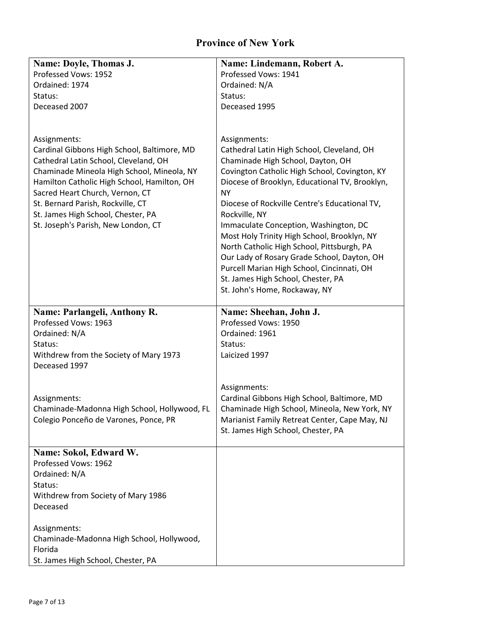# **Province of New York**

| Name: Doyle, Thomas J.                                                                                                                                                                                                                                                                                                                                 | Name: Lindemann, Robert A.                                                                                                                                                                                                                                                                                                                                                                                                                                                                                                                                                                  |
|--------------------------------------------------------------------------------------------------------------------------------------------------------------------------------------------------------------------------------------------------------------------------------------------------------------------------------------------------------|---------------------------------------------------------------------------------------------------------------------------------------------------------------------------------------------------------------------------------------------------------------------------------------------------------------------------------------------------------------------------------------------------------------------------------------------------------------------------------------------------------------------------------------------------------------------------------------------|
| Professed Vows: 1952                                                                                                                                                                                                                                                                                                                                   | Professed Vows: 1941                                                                                                                                                                                                                                                                                                                                                                                                                                                                                                                                                                        |
| Ordained: 1974                                                                                                                                                                                                                                                                                                                                         | Ordained: N/A                                                                                                                                                                                                                                                                                                                                                                                                                                                                                                                                                                               |
| Status:                                                                                                                                                                                                                                                                                                                                                | Status:                                                                                                                                                                                                                                                                                                                                                                                                                                                                                                                                                                                     |
| Deceased 2007                                                                                                                                                                                                                                                                                                                                          | Deceased 1995                                                                                                                                                                                                                                                                                                                                                                                                                                                                                                                                                                               |
|                                                                                                                                                                                                                                                                                                                                                        |                                                                                                                                                                                                                                                                                                                                                                                                                                                                                                                                                                                             |
| Assignments:<br>Cardinal Gibbons High School, Baltimore, MD<br>Cathedral Latin School, Cleveland, OH<br>Chaminade Mineola High School, Mineola, NY<br>Hamilton Catholic High School, Hamilton, OH<br>Sacred Heart Church, Vernon, CT<br>St. Bernard Parish, Rockville, CT<br>St. James High School, Chester, PA<br>St. Joseph's Parish, New London, CT | Assignments:<br>Cathedral Latin High School, Cleveland, OH<br>Chaminade High School, Dayton, OH<br>Covington Catholic High School, Covington, KY<br>Diocese of Brooklyn, Educational TV, Brooklyn,<br><b>NY</b><br>Diocese of Rockville Centre's Educational TV,<br>Rockville, NY<br>Immaculate Conception, Washington, DC<br>Most Holy Trinity High School, Brooklyn, NY<br>North Catholic High School, Pittsburgh, PA<br>Our Lady of Rosary Grade School, Dayton, OH<br>Purcell Marian High School, Cincinnati, OH<br>St. James High School, Chester, PA<br>St. John's Home, Rockaway, NY |
|                                                                                                                                                                                                                                                                                                                                                        |                                                                                                                                                                                                                                                                                                                                                                                                                                                                                                                                                                                             |
| Name: Parlangeli, Anthony R.<br>Professed Vows: 1963<br>Ordained: N/A<br>Status:<br>Withdrew from the Society of Mary 1973<br>Deceased 1997                                                                                                                                                                                                            | Name: Sheehan, John J.<br>Professed Vows: 1950<br>Ordained: 1961<br>Status:<br>Laicized 1997                                                                                                                                                                                                                                                                                                                                                                                                                                                                                                |
| Assignments:<br>Chaminade-Madonna High School, Hollywood, FL<br>Colegio Ponceño de Varones, Ponce, PR                                                                                                                                                                                                                                                  | Assignments:<br>Cardinal Gibbons High School, Baltimore, MD<br>Chaminade High School, Mineola, New York, NY<br>Marianist Family Retreat Center, Cape May, NJ<br>St. James High School, Chester, PA                                                                                                                                                                                                                                                                                                                                                                                          |
| Name: Sokol, Edward W.<br>Professed Vows: 1962<br>Ordained: N/A<br>Status:<br>Withdrew from Society of Mary 1986<br>Deceased                                                                                                                                                                                                                           |                                                                                                                                                                                                                                                                                                                                                                                                                                                                                                                                                                                             |
| Assignments:<br>Chaminade-Madonna High School, Hollywood,<br>Florida<br>St. James High School, Chester, PA                                                                                                                                                                                                                                             |                                                                                                                                                                                                                                                                                                                                                                                                                                                                                                                                                                                             |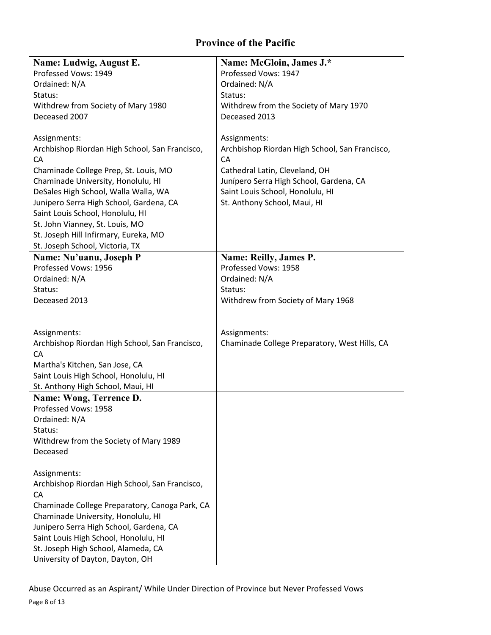# **Province of the Pacific**

| Name: Ludwig, August E.                        | Name: McGloin, James J.*                       |
|------------------------------------------------|------------------------------------------------|
| Professed Vows: 1949                           | Professed Vows: 1947                           |
| Ordained: N/A                                  | Ordained: N/A                                  |
| Status:                                        | Status:                                        |
| Withdrew from Society of Mary 1980             | Withdrew from the Society of Mary 1970         |
| Deceased 2007                                  | Deceased 2013                                  |
|                                                |                                                |
| Assignments:                                   | Assignments:                                   |
| Archbishop Riordan High School, San Francisco, | Archbishop Riordan High School, San Francisco, |
| CA                                             | CA                                             |
| Chaminade College Prep, St. Louis, MO          | Cathedral Latin, Cleveland, OH                 |
| Chaminade University, Honolulu, HI             | Junípero Serra High School, Gardena, CA        |
| DeSales High School, Walla Walla, WA           | Saint Louis School, Honolulu, HI               |
| Junipero Serra High School, Gardena, CA        | St. Anthony School, Maui, HI                   |
| Saint Louis School, Honolulu, HI               |                                                |
| St. John Vianney, St. Louis, MO                |                                                |
| St. Joseph Hill Infirmary, Eureka, MO          |                                                |
| St. Joseph School, Victoria, TX                |                                                |
| Name: Nu'uanu, Joseph P                        | Name: Reilly, James P.                         |
| Professed Vows: 1956                           | Professed Vows: 1958                           |
| Ordained: N/A                                  | Ordained: N/A                                  |
| Status:                                        | Status:                                        |
| Deceased 2013                                  | Withdrew from Society of Mary 1968             |
|                                                |                                                |
|                                                |                                                |
| Assignments:                                   | Assignments:                                   |
| Archbishop Riordan High School, San Francisco, | Chaminade College Preparatory, West Hills, CA  |
| CA                                             |                                                |
| Martha's Kitchen, San Jose, CA                 |                                                |
| Saint Louis High School, Honolulu, HI          |                                                |
| St. Anthony High School, Maui, HI              |                                                |
| Name: Wong, Terrence D.                        |                                                |
| Professed Vows: 1958                           |                                                |
| Ordained: N/A                                  |                                                |
| Status:                                        |                                                |
| Withdrew from the Society of Mary 1989         |                                                |
| Deceased                                       |                                                |
|                                                |                                                |
| Assignments:                                   |                                                |
| Archbishop Riordan High School, San Francisco, |                                                |
| CA                                             |                                                |
| Chaminade College Preparatory, Canoga Park, CA |                                                |
| Chaminade University, Honolulu, HI             |                                                |
| Junipero Serra High School, Gardena, CA        |                                                |
| Saint Louis High School, Honolulu, HI          |                                                |
| St. Joseph High School, Alameda, CA            |                                                |
| University of Dayton, Dayton, OH               |                                                |

Page 8 of 13 Abuse Occurred as an Aspirant/ While Under Direction of Province but Never Professed Vows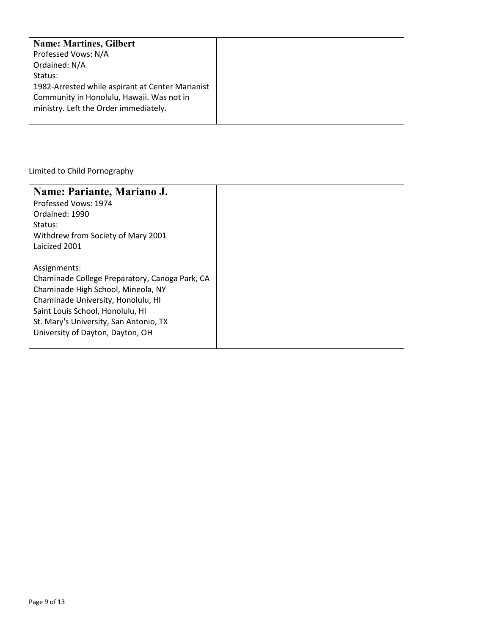| <b>Name: Martines, Gilbert</b>                   |
|--------------------------------------------------|
| Professed Vows: N/A                              |
| Ordained: N/A                                    |
| Status:                                          |
| 1982-Arrested while aspirant at Center Marianist |
| Community in Honolulu, Hawaii. Was not in        |
| ministry. Left the Order immediately.            |
|                                                  |

Limited to Child Pornography

| Name: Pariante, Mariano J.                     |
|------------------------------------------------|
| Professed Vows: 1974                           |
| Ordained: 1990                                 |
| Status:                                        |
| Withdrew from Society of Mary 2001             |
| Laicized 2001                                  |
|                                                |
| Assignments:                                   |
| Chaminade College Preparatory, Canoga Park, CA |
| Chaminade High School, Mineola, NY             |
| Chaminade University, Honolulu, HI             |
| Saint Louis School, Honolulu, HI               |
| St. Mary's University, San Antonio, TX         |
| University of Dayton, Dayton, OH               |
|                                                |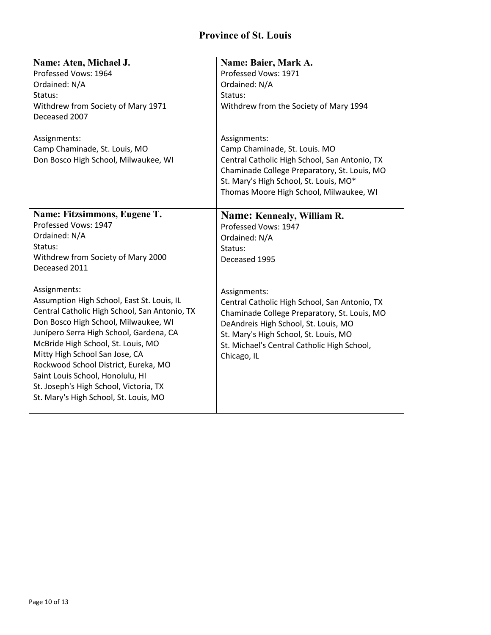### **Province of St. Louis**

| Name: Aten, Michael J.                        | Name: Baier, Mark A.                          |
|-----------------------------------------------|-----------------------------------------------|
| Professed Vows: 1964                          | Professed Vows: 1971                          |
| Ordained: N/A                                 | Ordained: N/A                                 |
| Status:                                       | Status:                                       |
| Withdrew from Society of Mary 1971            | Withdrew from the Society of Mary 1994        |
| Deceased 2007                                 |                                               |
| Assignments:                                  | Assignments:                                  |
| Camp Chaminade, St. Louis, MO                 | Camp Chaminade, St. Louis. MO                 |
| Don Bosco High School, Milwaukee, WI          | Central Catholic High School, San Antonio, TX |
|                                               | Chaminade College Preparatory, St. Louis, MO  |
|                                               | St. Mary's High School, St. Louis, MO*        |
|                                               | Thomas Moore High School, Milwaukee, WI       |
|                                               |                                               |
| Name: Fitzsimmons, Eugene T.                  | Name: Kennealy, William R.                    |
| Professed Vows: 1947                          | Professed Vows: 1947                          |
| Ordained: N/A                                 | Ordained: N/A                                 |
| Status:                                       | Status:                                       |
| Withdrew from Society of Mary 2000            | Deceased 1995                                 |
| Deceased 2011                                 |                                               |
|                                               |                                               |
| Assignments:                                  | Assignments:                                  |
| Assumption High School, East St. Louis, IL    | Central Catholic High School, San Antonio, TX |
| Central Catholic High School, San Antonio, TX | Chaminade College Preparatory, St. Louis, MO  |
| Don Bosco High School, Milwaukee, WI          | DeAndreis High School, St. Louis, MO          |
| Junípero Serra High School, Gardena, CA       | St. Mary's High School, St. Louis, MO         |
| McBride High School, St. Louis, MO            | St. Michael's Central Catholic High School,   |
| Mitty High School San Jose, CA                | Chicago, IL                                   |
| Rockwood School District, Eureka, MO          |                                               |
| Saint Louis School, Honolulu, HI              |                                               |
| St. Joseph's High School, Victoria, TX        |                                               |
| St. Mary's High School, St. Louis, MO         |                                               |
|                                               |                                               |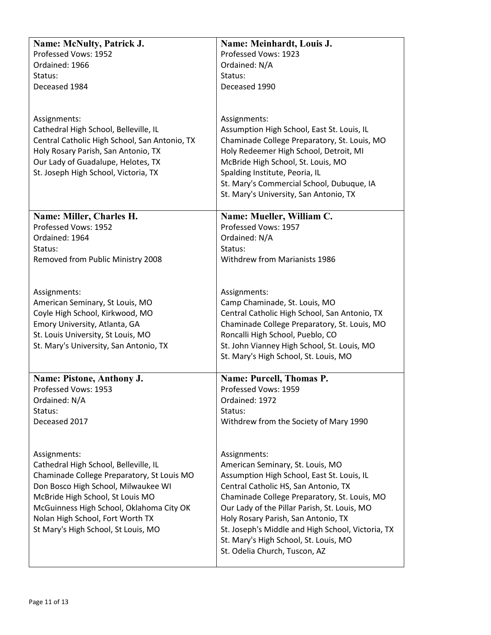| Name: McNulty, Patrick J.                                               | Name: Meinhardt, Louis J.                                                                |
|-------------------------------------------------------------------------|------------------------------------------------------------------------------------------|
| Professed Vows: 1952                                                    | Professed Vows: 1923                                                                     |
| Ordained: 1966                                                          | Ordained: N/A                                                                            |
| Status:                                                                 | Status:                                                                                  |
| Deceased 1984                                                           | Deceased 1990                                                                            |
|                                                                         |                                                                                          |
|                                                                         |                                                                                          |
| Assignments:                                                            | Assignments:                                                                             |
| Cathedral High School, Belleville, IL                                   | Assumption High School, East St. Louis, IL                                               |
| Central Catholic High School, San Antonio, TX                           | Chaminade College Preparatory, St. Louis, MO                                             |
| Holy Rosary Parish, San Antonio, TX                                     | Holy Redeemer High School, Detroit, MI                                                   |
| Our Lady of Guadalupe, Helotes, TX                                      | McBride High School, St. Louis, MO                                                       |
| St. Joseph High School, Victoria, TX                                    | Spalding Institute, Peoria, IL                                                           |
|                                                                         | St. Mary's Commercial School, Dubuque, IA                                                |
|                                                                         | St. Mary's University, San Antonio, TX                                                   |
| Name: Miller, Charles H.                                                | Name: Mueller, William C.                                                                |
| Professed Vows: 1952                                                    | Professed Vows: 1957                                                                     |
| Ordained: 1964                                                          | Ordained: N/A                                                                            |
| Status:                                                                 | Status:                                                                                  |
| Removed from Public Ministry 2008                                       | <b>Withdrew from Marianists 1986</b>                                                     |
|                                                                         |                                                                                          |
|                                                                         |                                                                                          |
| Assignments:                                                            | Assignments:                                                                             |
| American Seminary, St Louis, MO                                         | Camp Chaminade, St. Louis, MO                                                            |
| Coyle High School, Kirkwood, MO                                         | Central Catholic High School, San Antonio, TX                                            |
| Emory University, Atlanta, GA                                           | Chaminade College Preparatory, St. Louis, MO                                             |
| St. Louis University, St Louis, MO                                      | Roncalli High School, Pueblo, CO                                                         |
| St. Mary's University, San Antonio, TX                                  | St. John Vianney High School, St. Louis, MO                                              |
|                                                                         | St. Mary's High School, St. Louis, MO                                                    |
| Name: Pistone, Anthony J.                                               | <b>Name: Purcell, Thomas P.</b>                                                          |
| Professed Vows: 1953                                                    | Professed Vows: 1959                                                                     |
| Ordained: N/A                                                           | Ordained: 1972                                                                           |
| Status:                                                                 | Status:                                                                                  |
| Deceased 2017                                                           | Withdrew from the Society of Mary 1990                                                   |
|                                                                         |                                                                                          |
|                                                                         |                                                                                          |
| Assignments:                                                            | Assignments:                                                                             |
| Cathedral High School, Belleville, IL                                   | American Seminary, St. Louis, MO                                                         |
| Chaminade College Preparatory, St Louis MO                              | Assumption High School, East St. Louis, IL                                               |
| Don Bosco High School, Milwaukee WI                                     | Central Catholic HS, San Antonio, TX                                                     |
| McBride High School, St Louis MO                                        | Chaminade College Preparatory, St. Louis, MO                                             |
| McGuinness High School, Oklahoma City OK                                | Our Lady of the Pillar Parish, St. Louis, MO                                             |
| Nolan High School, Fort Worth TX<br>St Mary's High School, St Louis, MO | Holy Rosary Parish, San Antonio, TX<br>St. Joseph's Middle and High School, Victoria, TX |
|                                                                         | St. Mary's High School, St. Louis, MO                                                    |
|                                                                         | St. Odelia Church, Tuscon, AZ                                                            |
|                                                                         |                                                                                          |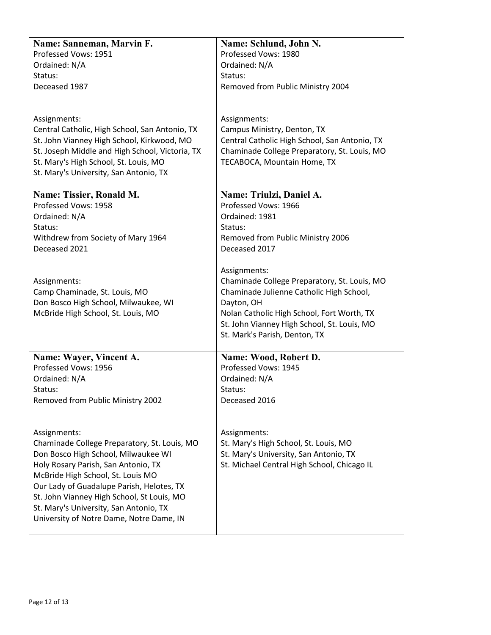| Name: Sanneman, Marvin F.                                                          | Name: Schlund, John N.                        |
|------------------------------------------------------------------------------------|-----------------------------------------------|
| Professed Vows: 1951                                                               | Professed Vows: 1980                          |
| Ordained: N/A                                                                      | Ordained: N/A                                 |
| Status:                                                                            | Status:                                       |
| Deceased 1987                                                                      | Removed from Public Ministry 2004             |
|                                                                                    |                                               |
|                                                                                    |                                               |
| Assignments:                                                                       | Assignments:                                  |
| Central Catholic, High School, San Antonio, TX                                     | Campus Ministry, Denton, TX                   |
| St. John Vianney High School, Kirkwood, MO                                         | Central Catholic High School, San Antonio, TX |
| St. Joseph Middle and High School, Victoria, TX                                    | Chaminade College Preparatory, St. Louis, MO  |
| St. Mary's High School, St. Louis, MO                                              | TECABOCA, Mountain Home, TX                   |
| St. Mary's University, San Antonio, TX                                             |                                               |
| Name: Tissier, Ronald M.                                                           | Name: Triulzi, Daniel A.                      |
| Professed Vows: 1958                                                               | Professed Vows: 1966                          |
| Ordained: N/A                                                                      | Ordained: 1981                                |
| Status:                                                                            | Status:                                       |
| Withdrew from Society of Mary 1964                                                 | Removed from Public Ministry 2006             |
| Deceased 2021                                                                      | Deceased 2017                                 |
|                                                                                    |                                               |
|                                                                                    | Assignments:                                  |
| Assignments:                                                                       | Chaminade College Preparatory, St. Louis, MO  |
| Camp Chaminade, St. Louis, MO                                                      | Chaminade Julienne Catholic High School,      |
| Don Bosco High School, Milwaukee, WI                                               | Dayton, OH                                    |
| McBride High School, St. Louis, MO                                                 | Nolan Catholic High School, Fort Worth, TX    |
|                                                                                    | St. John Vianney High School, St. Louis, MO   |
|                                                                                    | St. Mark's Parish, Denton, TX                 |
| Name: Wayer, Vincent A.                                                            | Name: Wood, Robert D.                         |
| Professed Vows: 1956                                                               | Professed Vows: 1945                          |
| Ordained: N/A                                                                      | Ordained: N/A                                 |
| Status:                                                                            | Status:                                       |
| Removed from Public Ministry 2002                                                  | Deceased 2016                                 |
|                                                                                    |                                               |
|                                                                                    |                                               |
| Assignments:                                                                       | Assignments:                                  |
| Chaminade College Preparatory, St. Louis, MO                                       | St. Mary's High School, St. Louis, MO         |
| Don Bosco High School, Milwaukee WI                                                | St. Mary's University, San Antonio, TX        |
| Holy Rosary Parish, San Antonio, TX                                                | St. Michael Central High School, Chicago IL   |
| McBride High School, St. Louis MO                                                  |                                               |
| Our Lady of Guadalupe Parish, Helotes, TX                                          |                                               |
| St. John Vianney High School, St Louis, MO                                         |                                               |
| St. Mary's University, San Antonio, TX<br>University of Notre Dame, Notre Dame, IN |                                               |
|                                                                                    |                                               |
|                                                                                    |                                               |